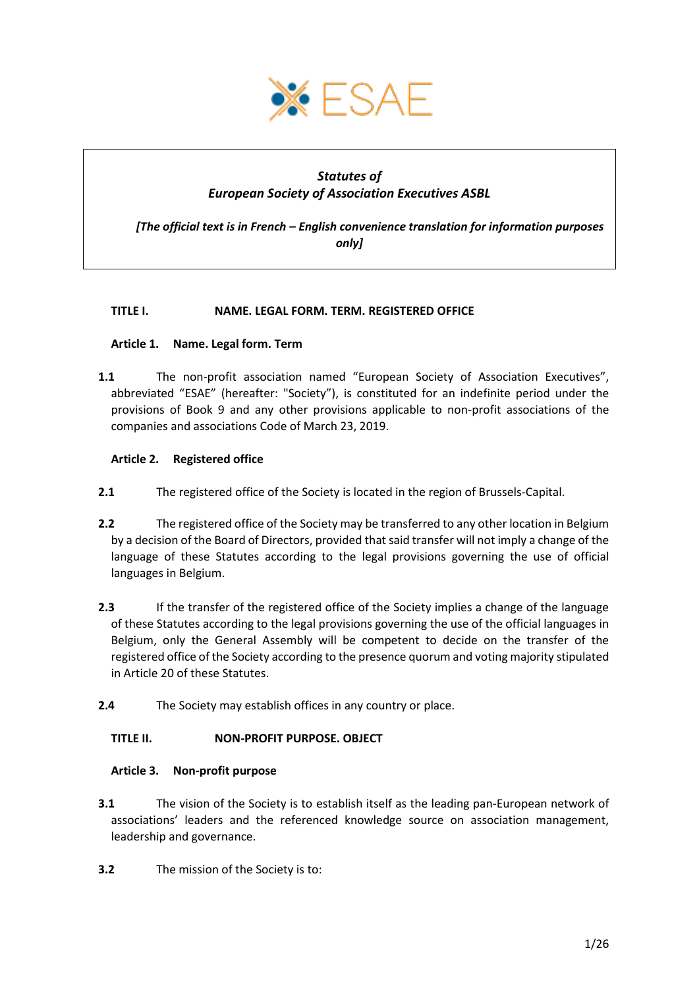

# *Statutes of European Society of Association Executives ASBL*

*[The official text is in French – English convenience translation for information purposes only]*

## <span id="page-0-0"></span>**TITLE I. NAME. LEGAL FORM. TERM. REGISTERED OFFICE**

## <span id="page-0-1"></span>**Article 1. Name. Legal form. Term**

**1.1** The non-profit association named "European Society of Association Executives", abbreviated "ESAE" (hereafter: "Society"), is constituted for an indefinite period under the provisions of Book 9 and any other provisions applicable to non-profit associations of the companies and associations Code of March 23, 2019.

### <span id="page-0-2"></span>**Article 2. Registered office**

- **2.1** The registered office of the Society is located in the region of Brussels-Capital.
- **2.2** The registered office of the Society may be transferred to any other location in Belgium by a decision of the Board of Directors, provided that said transfer will not imply a change of the language of these Statutes according to the legal provisions governing the use of official languages in Belgium.
- **2.3** If the transfer of the registered office of the Society implies a change of the language of these Statutes according to the legal provisions governing the use of the official languages in Belgium, only the General Assembly will be competent to decide on the transfer of the registered office of the Society according to the presence quorum and voting majority stipulated in [Article 20](#page-8-0) of these Statutes.
- **2.4** The Society may establish offices in any country or place.

## <span id="page-0-3"></span>**TITLE II. NON-PROFIT PURPOSE. OBJECT**

#### <span id="page-0-4"></span>**Article 3. Non-profit purpose**

- **3.1** The vision of the Society is to establish itself as the leading pan-European network of associations' leaders and the referenced knowledge source on association management, leadership and governance.
- **3.2** The mission of the Society is to: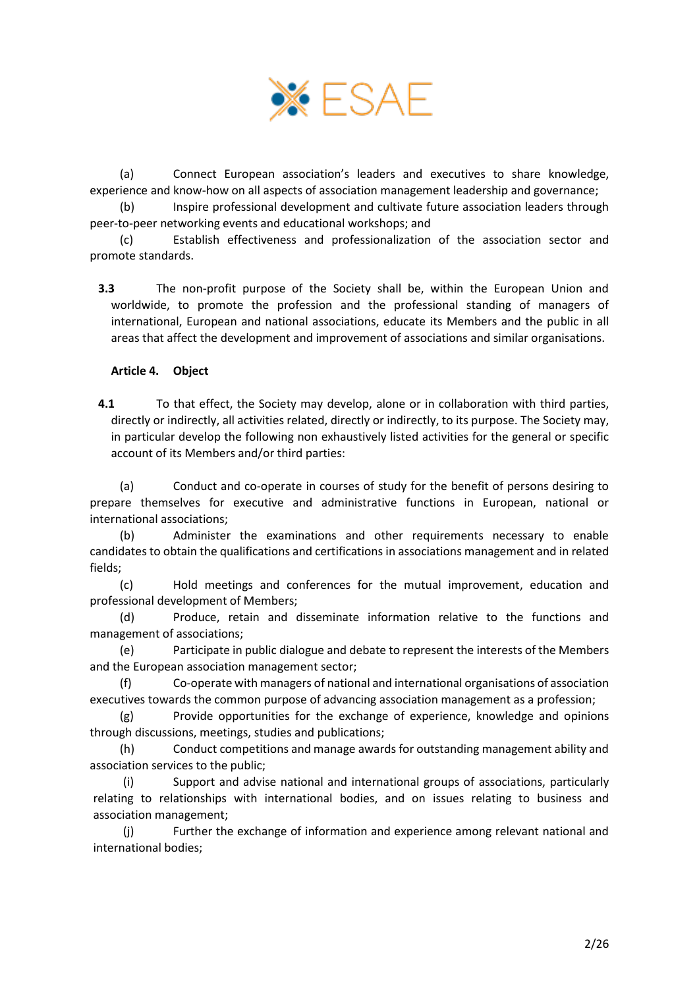

(a) Connect European association's leaders and executives to share knowledge, experience and know-how on all aspects of association management leadership and governance;

(b) Inspire professional development and cultivate future association leaders through peer-to-peer networking events and educational workshops; and

(c) Establish effectiveness and professionalization of the association sector and promote standards.

**3.3** The non-profit purpose of the Society shall be, within the European Union and worldwide, to promote the profession and the professional standing of managers of international, European and national associations, educate its Members and the public in all areas that affect the development and improvement of associations and similar organisations.

### <span id="page-1-0"></span>**Article 4. Object**

**4.1** To that effect, the Society may develop, alone or in collaboration with third parties, directly or indirectly, all activities related, directly or indirectly, to its purpose. The Society may, in particular develop the following non exhaustively listed activities for the general or specific account of its Members and/or third parties:

(a) Conduct and co-operate in courses of study for the benefit of persons desiring to prepare themselves for executive and administrative functions in European, national or international associations;

(b) Administer the examinations and other requirements necessary to enable candidates to obtain the qualifications and certifications in associations management and in related fields;

(c) Hold meetings and conferences for the mutual improvement, education and professional development of Members;

(d) Produce, retain and disseminate information relative to the functions and management of associations;

(e) Participate in public dialogue and debate to represent the interests of the Members and the European association management sector;

(f) Co-operate with managers of national and international organisations of association executives towards the common purpose of advancing association management as a profession;

(g) Provide opportunities for the exchange of experience, knowledge and opinions through discussions, meetings, studies and publications;

(h) Conduct competitions and manage awards for outstanding management ability and association services to the public;

(i) Support and advise national and international groups of associations, particularly relating to relationships with international bodies, and on issues relating to business and association management;

(j) Further the exchange of information and experience among relevant national and international bodies;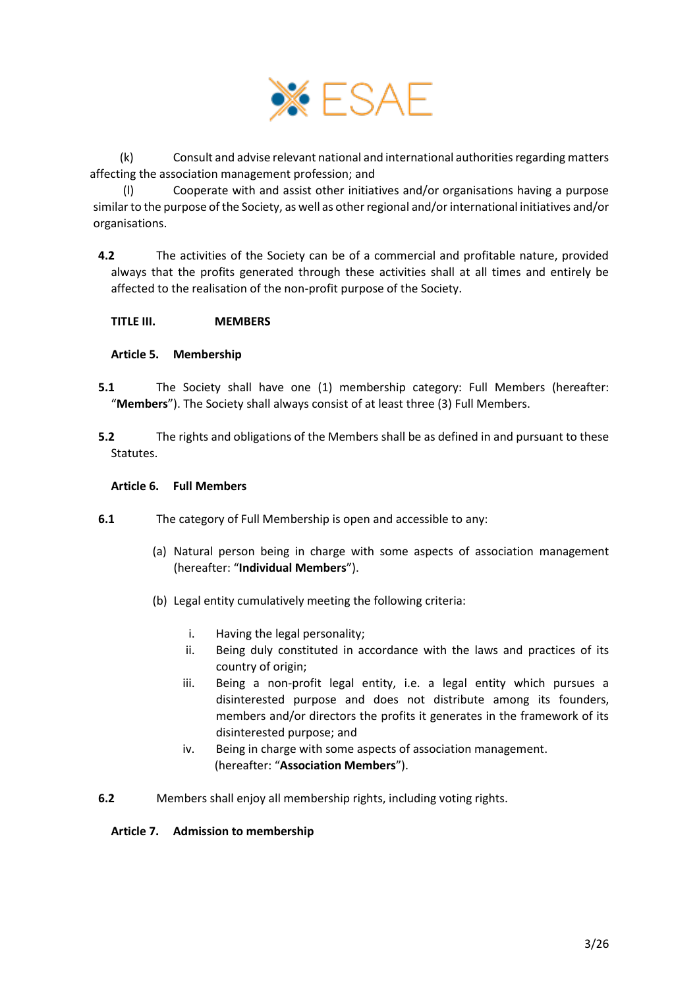

(k) Consult and advise relevant national and international authorities regarding matters affecting the association management profession; and

(l) Cooperate with and assist other initiatives and/or organisations having a purpose similar to the purpose of the Society, as well as other regional and/or international initiatives and/or organisations.

**4.2** The activities of the Society can be of a commercial and profitable nature, provided always that the profits generated through these activities shall at all times and entirely be affected to the realisation of the non-profit purpose of the Society.

<span id="page-2-2"></span>**TITLE III. MEMBERS**

### <span id="page-2-3"></span>**Article 5. Membership**

- **5.1** The Society shall have one (1) membership category: Full Members (hereafter: "**Members**"). The Society shall always consist of at least three (3) Full Members.
- **5.2** The rights and obligations of the Members shall be as defined in and pursuant to these Statutes.

### <span id="page-2-0"></span>**Article 6. Full Members**

- **6.1** The category of Full Membership is open and accessible to any:
	- (a) Natural person being in charge with some aspects of association management (hereafter: "**Individual Members**").
	- (b) Legal entity cumulatively meeting the following criteria:
		- i. Having the legal personality;
		- ii. Being duly constituted in accordance with the laws and practices of its country of origin;
		- iii. Being a non-profit legal entity, i.e. a legal entity which pursues a disinterested purpose and does not distribute among its founders, members and/or directors the profits it generates in the framework of its disinterested purpose; and
		- iv. Being in charge with some aspects of association management. (hereafter: "**Association Members**").
- **6.2** Members shall enjoy all membership rights, including voting rights.

#### <span id="page-2-1"></span>**Article 7. Admission to membership**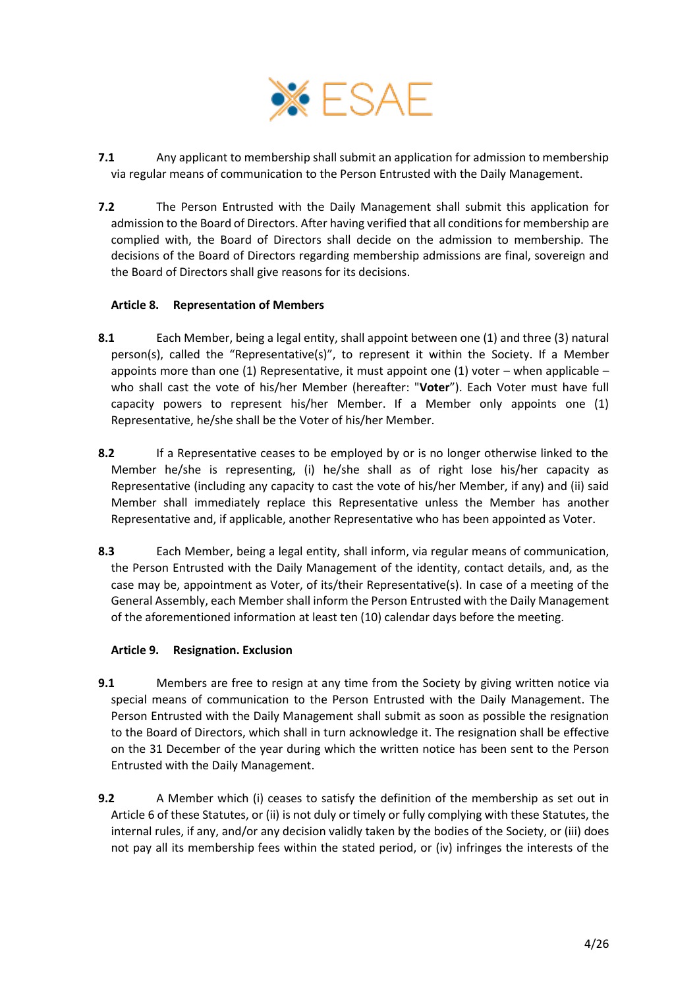

- **7.1** Any applicant to membership shall submit an application for admission to membership via regular means of communication to the Person Entrusted with the Daily Management.
- **7.2** The Person Entrusted with the Daily Management shall submit this application for admission to the Board of Directors. After having verified that all conditions for membership are complied with, the Board of Directors shall decide on the admission to membership. The decisions of the Board of Directors regarding membership admissions are final, sovereign and the Board of Directors shall give reasons for its decisions.

## <span id="page-3-1"></span>**Article 8. Representation of Members**

- **8.1** Each Member, being a legal entity, shall appoint between one (1) and three (3) natural person(s), called the "Representative(s)", to represent it within the Society. If a Member appoints more than one (1) Representative, it must appoint one (1) voter – when applicable – who shall cast the vote of his/her Member (hereafter: "**Voter**"). Each Voter must have full capacity powers to represent his/her Member. If a Member only appoints one (1) Representative, he/she shall be the Voter of his/her Member.
- **8.2** If a Representative ceases to be employed by or is no longer otherwise linked to the Member he/she is representing, (i) he/she shall as of right lose his/her capacity as Representative (including any capacity to cast the vote of his/her Member, if any) and (ii) said Member shall immediately replace this Representative unless the Member has another Representative and, if applicable, another Representative who has been appointed as Voter.
- **8.3** Each Member, being a legal entity, shall inform, via regular means of communication, the Person Entrusted with the Daily Management of the identity, contact details, and, as the case may be, appointment as Voter, of its/their Representative(s). In case of a meeting of the General Assembly, each Member shall inform the Person Entrusted with the Daily Management of the aforementioned information at least ten (10) calendar days before the meeting.

#### <span id="page-3-0"></span>**Article 9. Resignation. Exclusion**

- **9.1** Members are free to resign at any time from the Society by giving written notice via special means of communication to the Person Entrusted with the Daily Management. The Person Entrusted with the Daily Management shall submit as soon as possible the resignation to the Board of Directors, which shall in turn acknowledge it. The resignation shall be effective on the 31 December of the year during which the written notice has been sent to the Person Entrusted with the Daily Management.
- **9.2** A Member which (i) ceases to satisfy the definition of the membership as set out in [Article 6](#page-2-0) of these Statutes, or (ii) is not duly or timely or fully complying with these Statutes, the internal rules, if any, and/or any decision validly taken by the bodies of the Society, or (iii) does not pay all its membership fees within the stated period, or (iv) infringes the interests of the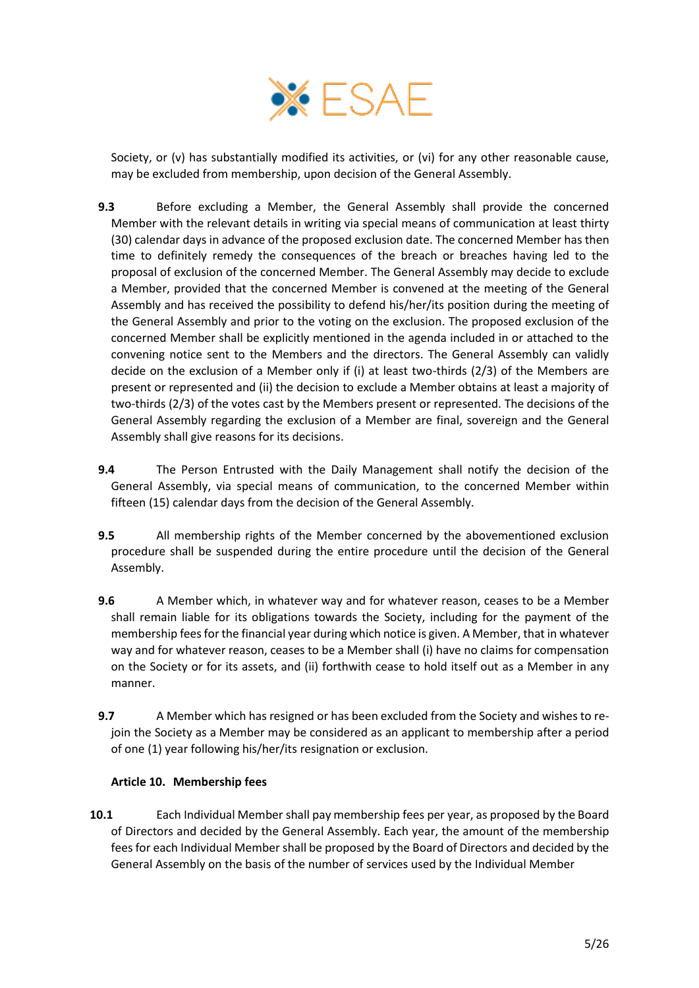

Society, or (v) has substantially modified its activities, or (vi) for any other reasonable cause, may be excluded from membership, upon decision of the General Assembly.

- **9.3** Before excluding a Member, the General Assembly shall provide the concerned Member with the relevant details in writing via special means of communication at least thirty (30) calendar days in advance of the proposed exclusion date. The concerned Member has then time to definitely remedy the consequences of the breach or breaches having led to the proposal of exclusion of the concerned Member. The General Assembly may decide to exclude a Member, provided that the concerned Member is convened at the meeting of the General Assembly and has received the possibility to defend his/her/its position during the meeting of the General Assembly and prior to the voting on the exclusion. The proposed exclusion of the concerned Member shall be explicitly mentioned in the agenda included in or attached to the convening notice sent to the Members and the directors. The General Assembly can validly decide on the exclusion of a Member only if (i) at least two-thirds (2/3) of the Members are present or represented and (ii) the decision to exclude a Member obtains at least a majority of two-thirds (2/3) of the votes cast by the Members present or represented. The decisions of the General Assembly regarding the exclusion of a Member are final, sovereign and the General Assembly shall give reasons for its decisions.
- **9.4** The Person Entrusted with the Daily Management shall notify the decision of the General Assembly, via special means of communication, to the concerned Member within fifteen (15) calendar days from the decision of the General Assembly.
- **9.5** All membership rights of the Member concerned by the abovementioned exclusion procedure shall be suspended during the entire procedure until the decision of the General Assembly.
- **9.6** A Member which, in whatever way and for whatever reason, ceases to be a Member shall remain liable for its obligations towards the Society, including for the payment of the membership fees for the financial year during which notice is given. A Member, that in whatever way and for whatever reason, ceases to be a Member shall (i) have no claims for compensation on the Society or for its assets, and (ii) forthwith cease to hold itself out as a Member in any manner.
- **9.7** A Member which has resigned or has been excluded from the Society and wishes to rejoin the Society as a Member may be considered as an applicant to membership after a period of one (1) year following his/her/its resignation or exclusion.

## <span id="page-4-0"></span>**Article 10. Membership fees**

**10.1** Each Individual Member shall pay membership fees per year, as proposed by the Board of Directors and decided by the General Assembly. Each year, the amount of the membership fees for each Individual Member shall be proposed by the Board of Directors and decided by the General Assembly on the basis of the number of services used by the Individual Member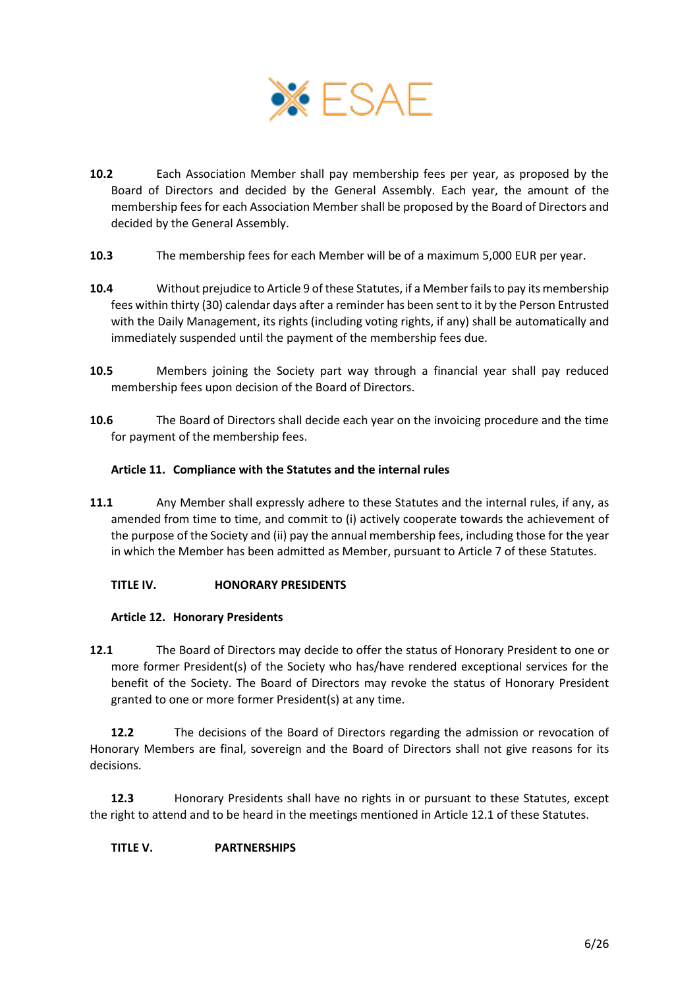

- **10.2** Each Association Member shall pay membership fees per year, as proposed by the Board of Directors and decided by the General Assembly. Each year, the amount of the membership fees for each Association Member shall be proposed by the Board of Directors and decided by the General Assembly.
- **10.3** The membership fees for each Member will be of a maximum 5,000 EUR per year.
- **10.4** Without prejudice t[o Article 9](#page-3-0) of these Statutes, if a Member fails to pay its membership fees within thirty (30) calendar days after a reminder has been sent to it by the Person Entrusted with the Daily Management, its rights (including voting rights, if any) shall be automatically and immediately suspended until the payment of the membership fees due.
- **10.5** Members joining the Society part way through a financial year shall pay reduced membership fees upon decision of the Board of Directors.
- **10.6** The Board of Directors shall decide each year on the invoicing procedure and the time for payment of the membership fees.

### <span id="page-5-1"></span>**Article 11. Compliance with the Statutes and the internal rules**

**11.1** Any Member shall expressly adhere to these Statutes and the internal rules, if any, as amended from time to time, and commit to (i) actively cooperate towards the achievement of the purpose of the Society and (ii) pay the annual membership fees, including those for the year in which the Member has been admitted as Member, pursuant to [Article 7](#page-2-1) of these Statutes.

## <span id="page-5-2"></span>**TITLE IV. HONORARY PRESIDENTS**

### <span id="page-5-3"></span>**Article 12. Honorary Presidents**

<span id="page-5-0"></span>**12.1** The Board of Directors may decide to offer the status of Honorary President to one or more former President(s) of the Society who has/have rendered exceptional services for the benefit of the Society. The Board of Directors may revoke the status of Honorary President granted to one or more former President(s) at any time.

**12.2** The decisions of the Board of Directors regarding the admission or revocation of Honorary Members are final, sovereign and the Board of Directors shall not give reasons for its decisions.

**12.3** Honorary Presidents shall have no rights in or pursuant to these Statutes, except the right to attend and to be heard in the meetings mentioned in Article [12.1](#page-5-0) of these Statutes.

## <span id="page-5-4"></span>**TITLE V. PARTNERSHIPS**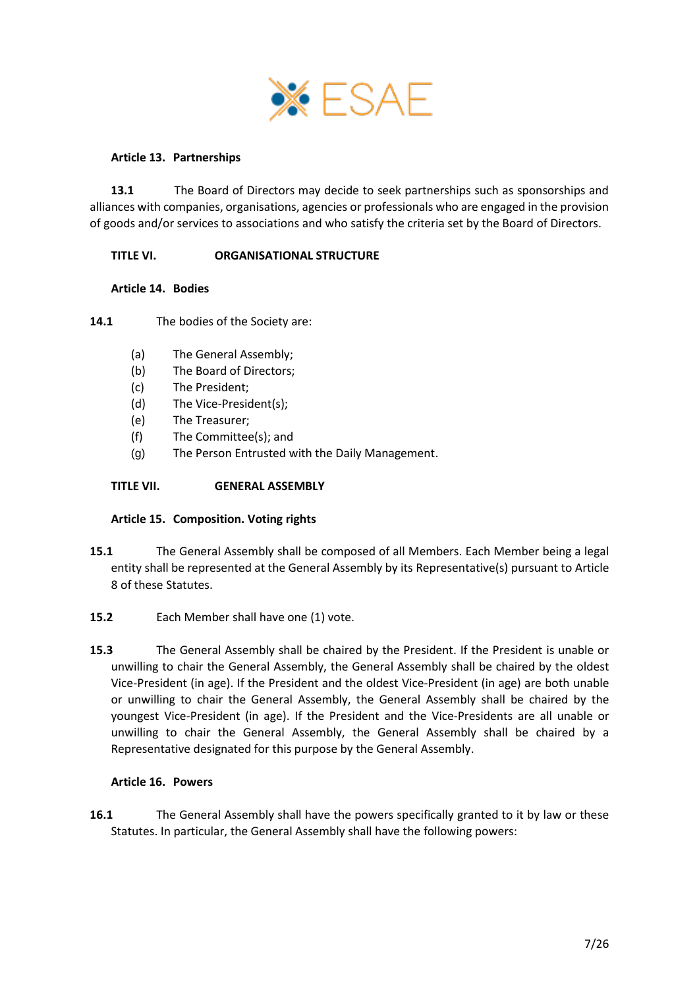

### <span id="page-6-0"></span>**Article 13. Partnerships**

**13.1** The Board of Directors may decide to seek partnerships such as sponsorships and alliances with companies, organisations, agencies or professionals who are engaged in the provision of goods and/or services to associations and who satisfy the criteria set by the Board of Directors.

### <span id="page-6-1"></span>**TITLE VI. ORGANISATIONAL STRUCTURE**

#### <span id="page-6-2"></span>**Article 14. Bodies**

**14.1** The bodies of the Society are:

- (a) The General Assembly;
- (b) The Board of Directors;
- (c) The President;
- (d) The Vice-President(s);
- (e) The Treasurer;
- (f) The Committee(s); and
- (g) The Person Entrusted with the Daily Management.

### <span id="page-6-3"></span>**TITLE VII. GENERAL ASSEMBLY**

#### <span id="page-6-4"></span>**Article 15. Composition. Voting rights**

- **15.1** The General Assembly shall be composed of all Members. Each Member being a legal entity shall be represented at the General Assembly by its Representative(s) pursuant t[o Article](#page-3-1)  [8](#page-3-1) of these Statutes.
- 15.2 Each Member shall have one (1) vote.
- **15.3** The General Assembly shall be chaired by the President. If the President is unable or unwilling to chair the General Assembly, the General Assembly shall be chaired by the oldest Vice-President (in age). If the President and the oldest Vice-President (in age) are both unable or unwilling to chair the General Assembly, the General Assembly shall be chaired by the youngest Vice-President (in age). If the President and the Vice-Presidents are all unable or unwilling to chair the General Assembly, the General Assembly shall be chaired by a Representative designated for this purpose by the General Assembly.

#### <span id="page-6-5"></span>**Article 16. Powers**

**16.1** The General Assembly shall have the powers specifically granted to it by law or these Statutes. In particular, the General Assembly shall have the following powers: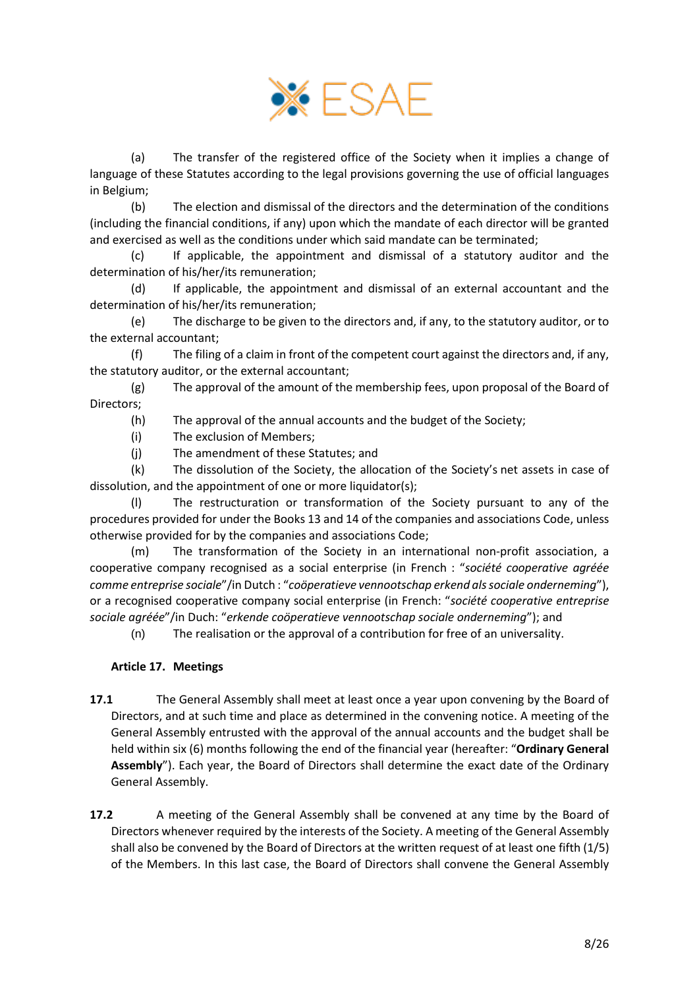

(a) The transfer of the registered office of the Society when it implies a change of language of these Statutes according to the legal provisions governing the use of official languages in Belgium;

(b) The election and dismissal of the directors and the determination of the conditions (including the financial conditions, if any) upon which the mandate of each director will be granted and exercised as well as the conditions under which said mandate can be terminated;

(c) If applicable, the appointment and dismissal of a statutory auditor and the determination of his/her/its remuneration;

(d) If applicable, the appointment and dismissal of an external accountant and the determination of his/her/its remuneration;

(e) The discharge to be given to the directors and, if any, to the statutory auditor, or to the external accountant;

(f) The filing of a claim in front of the competent court against the directors and, if any, the statutory auditor, or the external accountant;

(g) The approval of the amount of the membership fees, upon proposal of the Board of Directors;

(h) The approval of the annual accounts and the budget of the Society;

- (i) The exclusion of Members;
- (j) The amendment of these Statutes; and

(k) The dissolution of the Society, the allocation of the Society's net assets in case of dissolution, and the appointment of one or more liquidator(s);

(l) The restructuration or transformation of the Society pursuant to any of the procedures provided for under the Books 13 and 14 of the companies and associations Code, unless otherwise provided for by the companies and associations Code;

(m) The transformation of the Society in an international non-profit association, a cooperative company recognised as a social enterprise (in French : "*société cooperative agréée comme entreprise sociale*"/in Dutch : "*coöperatieve vennootschap erkend als sociale onderneming*"), or a recognised cooperative company social enterprise (in French: "*société cooperative entreprise sociale agréée*"/in Duch: "*erkende coöperatieve vennootschap sociale onderneming*"); and

(n) The realisation or the approval of a contribution for free of an universality.

#### <span id="page-7-0"></span>**Article 17. Meetings**

**17.1** The General Assembly shall meet at least once a year upon convening by the Board of Directors, and at such time and place as determined in the convening notice. A meeting of the General Assembly entrusted with the approval of the annual accounts and the budget shall be held within six (6) months following the end of the financial year (hereafter: "**Ordinary General Assembly**"). Each year, the Board of Directors shall determine the exact date of the Ordinary General Assembly.

**17.2** A meeting of the General Assembly shall be convened at any time by the Board of Directors whenever required by the interests of the Society. A meeting of the General Assembly shall also be convened by the Board of Directors at the written request of at least one fifth (1/5) of the Members. In this last case, the Board of Directors shall convene the General Assembly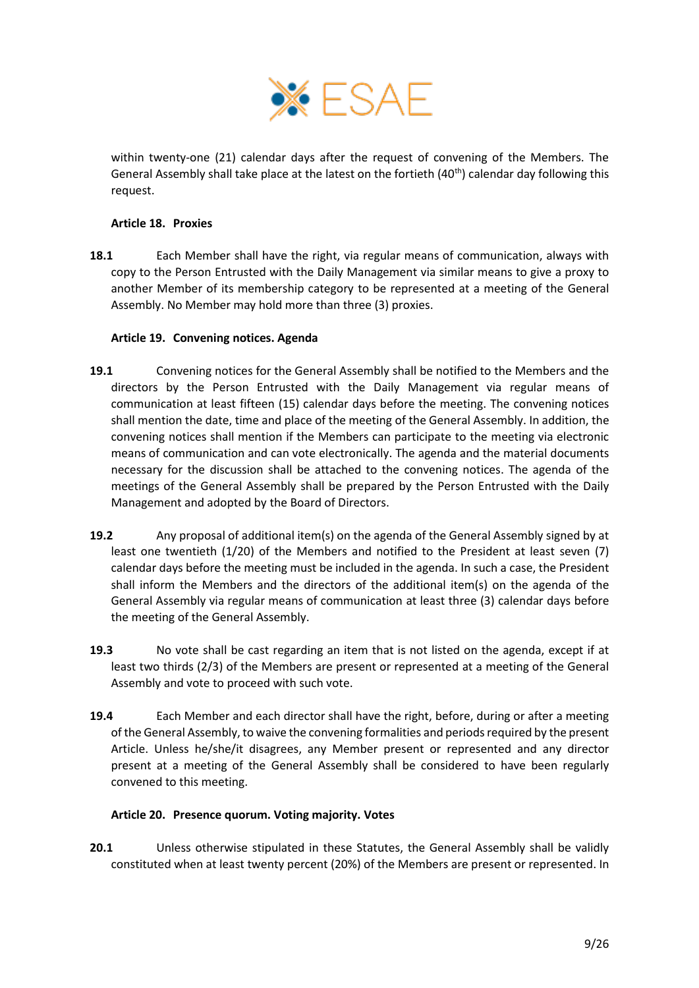

within twenty-one (21) calendar days after the request of convening of the Members. The General Assembly shall take place at the latest on the fortieth (40<sup>th</sup>) calendar day following this request.

### <span id="page-8-2"></span>**Article 18. Proxies**

**18.1** Each Member shall have the right, via regular means of communication, always with copy to the Person Entrusted with the Daily Management via similar means to give a proxy to another Member of its membership category to be represented at a meeting of the General Assembly. No Member may hold more than three (3) proxies.

### <span id="page-8-1"></span>**Article 19. Convening notices. Agenda**

- **19.1** Convening notices for the General Assembly shall be notified to the Members and the directors by the Person Entrusted with the Daily Management via regular means of communication at least fifteen (15) calendar days before the meeting. The convening notices shall mention the date, time and place of the meeting of the General Assembly. In addition, the convening notices shall mention if the Members can participate to the meeting via electronic means of communication and can vote electronically. The agenda and the material documents necessary for the discussion shall be attached to the convening notices. The agenda of the meetings of the General Assembly shall be prepared by the Person Entrusted with the Daily Management and adopted by the Board of Directors.
- **19.2** Any proposal of additional item(s) on the agenda of the General Assembly signed by at least one twentieth (1/20) of the Members and notified to the President at least seven (7) calendar days before the meeting must be included in the agenda. In such a case, the President shall inform the Members and the directors of the additional item(s) on the agenda of the General Assembly via regular means of communication at least three (3) calendar days before the meeting of the General Assembly.
- **19.3** No vote shall be cast regarding an item that is not listed on the agenda, except if at least two thirds (2/3) of the Members are present or represented at a meeting of the General Assembly and vote to proceed with such vote.
- **19.4** Each Member and each director shall have the right, before, during or after a meeting of the General Assembly, to waive the convening formalities and periods required by the present Article. Unless he/she/it disagrees, any Member present or represented and any director present at a meeting of the General Assembly shall be considered to have been regularly convened to this meeting.

## <span id="page-8-3"></span><span id="page-8-0"></span>**Article 20. Presence quorum. Voting majority. Votes**

**20.1** Unless otherwise stipulated in these Statutes, the General Assembly shall be validly constituted when at least twenty percent (20%) of the Members are present or represented. In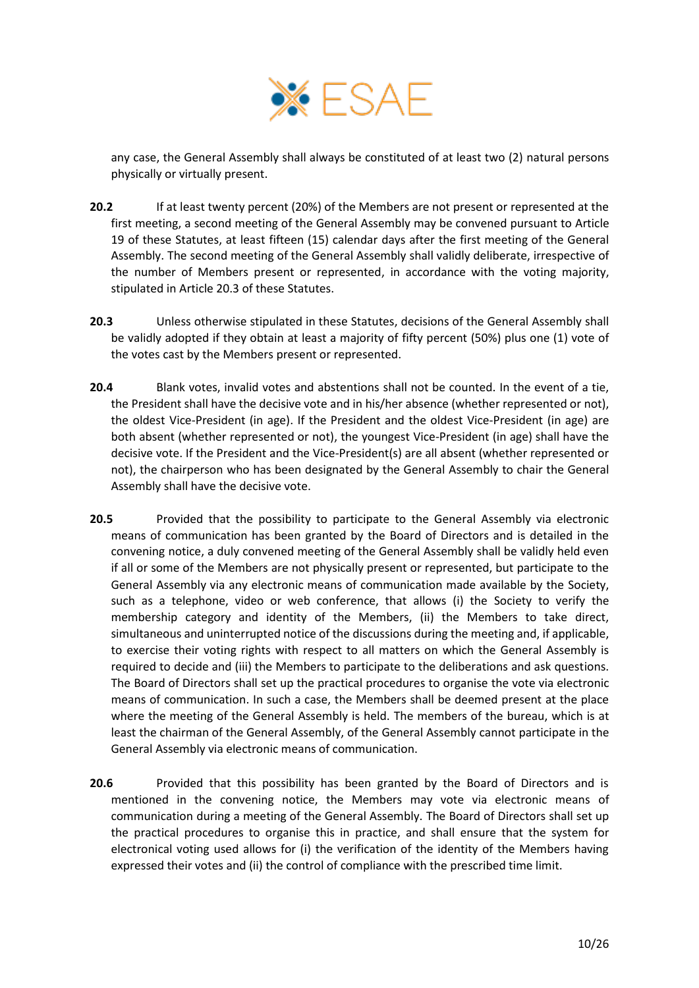

any case, the General Assembly shall always be constituted of at least two (2) natural persons physically or virtually present.

- **20.2** If at least twenty percent (20%) of the Members are not present or represented at the first meeting, a second meeting of the General Assembly may be convened pursuant t[o Article](#page-8-1)  [19](#page-8-1) of these Statutes, at least fifteen (15) calendar days after the first meeting of the General Assembly. The second meeting of the General Assembly shall validly deliberate, irrespective of the number of Members present or represented, in accordance with the voting majority, stipulated in Article [20.3](#page-9-0) of these Statutes.
- <span id="page-9-0"></span>**20.3** Unless otherwise stipulated in these Statutes, decisions of the General Assembly shall be validly adopted if they obtain at least a majority of fifty percent (50%) plus one (1) vote of the votes cast by the Members present or represented.
- **20.4** Blank votes, invalid votes and abstentions shall not be counted. In the event of a tie, the President shall have the decisive vote and in his/her absence (whether represented or not), the oldest Vice-President (in age). If the President and the oldest Vice-President (in age) are both absent (whether represented or not), the youngest Vice-President (in age) shall have the decisive vote. If the President and the Vice-President(s) are all absent (whether represented or not), the chairperson who has been designated by the General Assembly to chair the General Assembly shall have the decisive vote.
- **20.5** Provided that the possibility to participate to the General Assembly via electronic means of communication has been granted by the Board of Directors and is detailed in the convening notice, a duly convened meeting of the General Assembly shall be validly held even if all or some of the Members are not physically present or represented, but participate to the General Assembly via any electronic means of communication made available by the Society, such as a telephone, video or web conference, that allows (i) the Society to verify the membership category and identity of the Members, (ii) the Members to take direct, simultaneous and uninterrupted notice of the discussions during the meeting and, if applicable, to exercise their voting rights with respect to all matters on which the General Assembly is required to decide and (iii) the Members to participate to the deliberations and ask questions. The Board of Directors shall set up the practical procedures to organise the vote via electronic means of communication. In such a case, the Members shall be deemed present at the place where the meeting of the General Assembly is held. The members of the bureau, which is at least the chairman of the General Assembly, of the General Assembly cannot participate in the General Assembly via electronic means of communication.
- 20.6 Provided that this possibility has been granted by the Board of Directors and is mentioned in the convening notice, the Members may vote via electronic means of communication during a meeting of the General Assembly. The Board of Directors shall set up the practical procedures to organise this in practice, and shall ensure that the system for electronical voting used allows for (i) the verification of the identity of the Members having expressed their votes and (ii) the control of compliance with the prescribed time limit.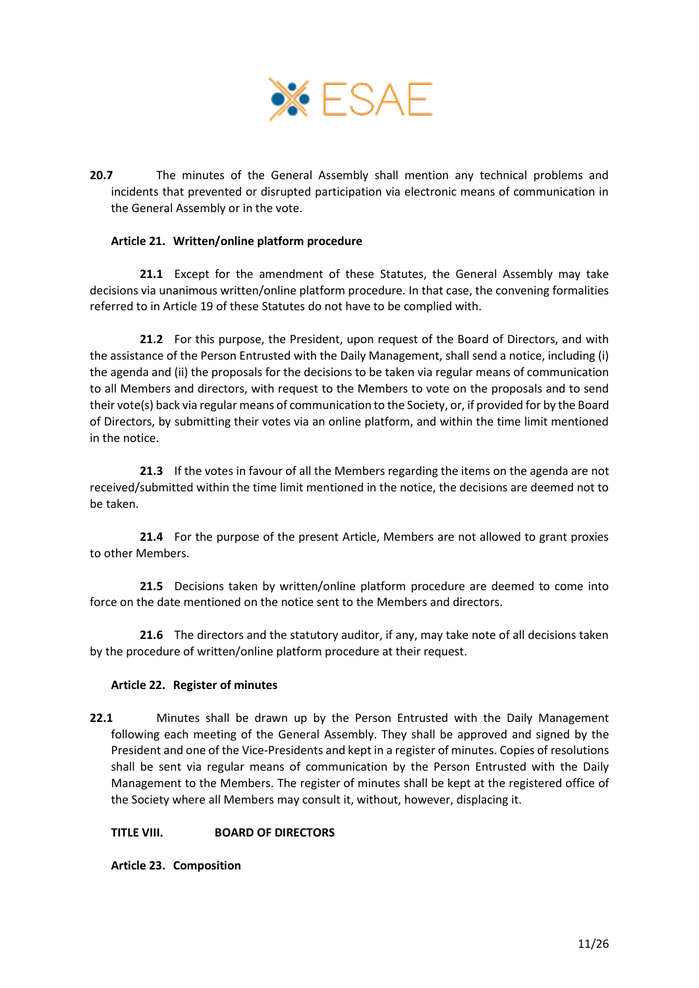

**20.7** The minutes of the General Assembly shall mention any technical problems and incidents that prevented or disrupted participation via electronic means of communication in the General Assembly or in the vote.

### <span id="page-10-0"></span>**Article 21. Written/online platform procedure**

**21.1** Except for the amendment of these Statutes, the General Assembly may take decisions via unanimous written/online platform procedure. In that case, the convening formalities referred to in [Article 19](#page-8-1) of these Statutes do not have to be complied with.

**21.2** For this purpose, the President, upon request of the Board of Directors, and with the assistance of the Person Entrusted with the Daily Management, shall send a notice, including (i) the agenda and (ii) the proposals for the decisions to be taken via regular means of communication to all Members and directors, with request to the Members to vote on the proposals and to send their vote(s) back via regular means of communication to the Society, or, if provided for by the Board of Directors, by submitting their votes via an online platform, and within the time limit mentioned in the notice.

**21.3** If the votes in favour of all the Members regarding the items on the agenda are not received/submitted within the time limit mentioned in the notice, the decisions are deemed not to be taken.

**21.4** For the purpose of the present Article, Members are not allowed to grant proxies to other Members.

**21.5** Decisions taken by written/online platform procedure are deemed to come into force on the date mentioned on the notice sent to the Members and directors.

**21.6** The directors and the statutory auditor, if any, may take note of all decisions taken by the procedure of written/online platform procedure at their request.

#### <span id="page-10-1"></span>**Article 22. Register of minutes**

**22.1** Minutes shall be drawn up by the Person Entrusted with the Daily Management following each meeting of the General Assembly. They shall be approved and signed by the President and one of the Vice-Presidents and kept in a register of minutes. Copies of resolutions shall be sent via regular means of communication by the Person Entrusted with the Daily Management to the Members. The register of minutes shall be kept at the registered office of the Society where all Members may consult it, without, however, displacing it.

#### <span id="page-10-2"></span>**TITLE VIII. BOARD OF DIRECTORS**

<span id="page-10-3"></span>**Article 23. Composition**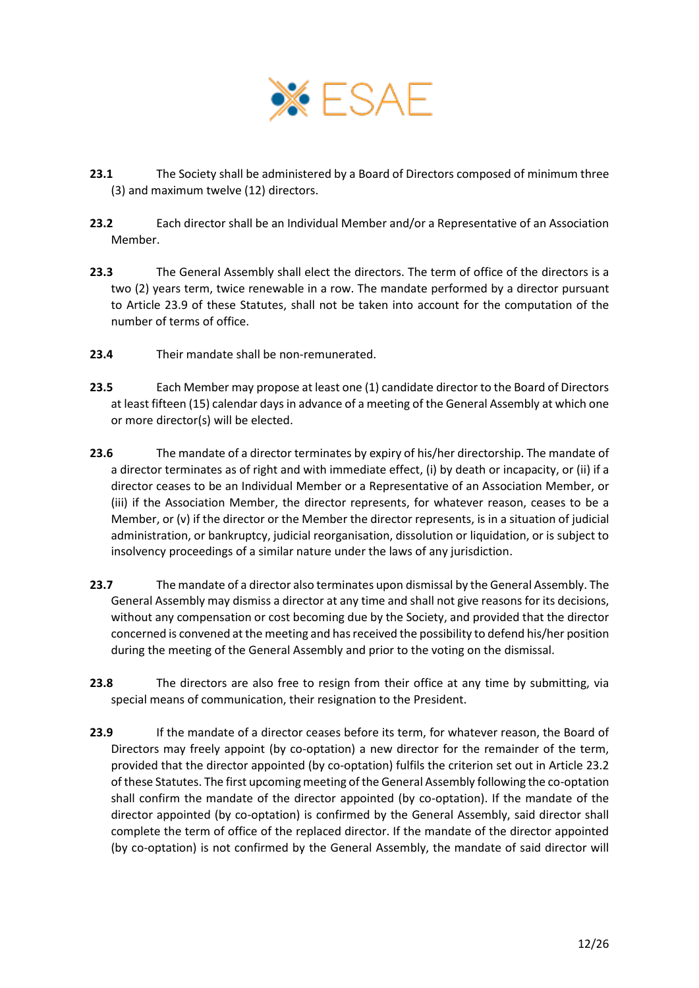

- **23.1** The Society shall be administered by a Board of Directors composed of minimum three (3) and maximum twelve (12) directors.
- <span id="page-11-1"></span>**23.2** Each director shall be an Individual Member and/or a Representative of an Association Member.
- <span id="page-11-2"></span>**23.3** The General Assembly shall elect the directors. The term of office of the directors is a two (2) years term, twice renewable in a row. The mandate performed by a director pursuant to Article [23.9](#page-11-0) of these Statutes, shall not be taken into account for the computation of the number of terms of office.
- **23.4** Their mandate shall be non-remunerated.
- **23.5** Each Member may propose at least one (1) candidate director to the Board of Directors at least fifteen (15) calendar days in advance of a meeting of the General Assembly at which one or more director(s) will be elected.
- **23.6** The mandate of a director terminates by expiry of his/her directorship. The mandate of a director terminates as of right and with immediate effect, (i) by death or incapacity, or (ii) if a director ceases to be an Individual Member or a Representative of an Association Member, or (iii) if the Association Member, the director represents, for whatever reason, ceases to be a Member, or (v) if the director or the Member the director represents, is in a situation of judicial administration, or bankruptcy, judicial reorganisation, dissolution or liquidation, or is subject to insolvency proceedings of a similar nature under the laws of any jurisdiction.
- **23.7** The mandate of a director also terminates upon dismissal by the General Assembly. The General Assembly may dismiss a director at any time and shall not give reasons for its decisions, without any compensation or cost becoming due by the Society, and provided that the director concerned is convened at the meeting and has received the possibility to defend his/her position during the meeting of the General Assembly and prior to the voting on the dismissal.
- **23.8** The directors are also free to resign from their office at any time by submitting, via special means of communication, their resignation to the President.
- <span id="page-11-0"></span>**23.9** If the mandate of a director ceases before its term, for whatever reason, the Board of Directors may freely appoint (by co-optation) a new director for the remainder of the term, provided that the director appointed (by co-optation) fulfils the criterion set out in Article [23.2](#page-11-1) of these Statutes. The first upcoming meeting of the General Assembly following the co-optation shall confirm the mandate of the director appointed (by co-optation). If the mandate of the director appointed (by co-optation) is confirmed by the General Assembly, said director shall complete the term of office of the replaced director. If the mandate of the director appointed (by co-optation) is not confirmed by the General Assembly, the mandate of said director will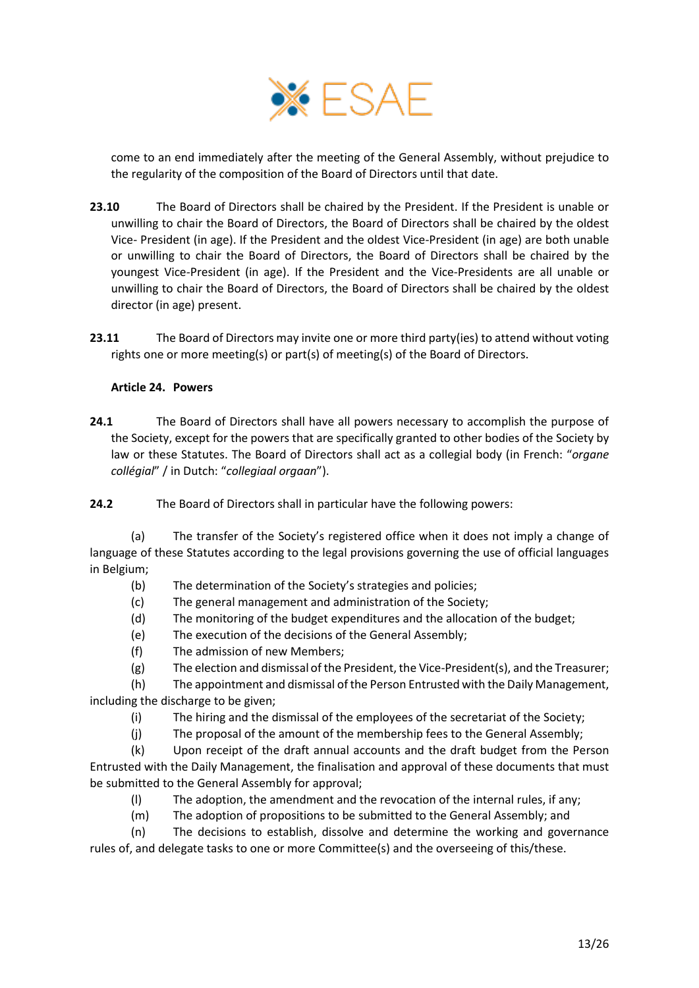

come to an end immediately after the meeting of the General Assembly, without prejudice to the regularity of the composition of the Board of Directors until that date.

- **23.10** The Board of Directors shall be chaired by the President. If the President is unable or unwilling to chair the Board of Directors, the Board of Directors shall be chaired by the oldest Vice- President (in age). If the President and the oldest Vice-President (in age) are both unable or unwilling to chair the Board of Directors, the Board of Directors shall be chaired by the youngest Vice-President (in age). If the President and the Vice-Presidents are all unable or unwilling to chair the Board of Directors, the Board of Directors shall be chaired by the oldest director (in age) present.
- **23.11** The Board of Directors may invite one or more third party(ies) to attend without voting rights one or more meeting(s) or part(s) of meeting(s) of the Board of Directors.

### <span id="page-12-0"></span>**Article 24. Powers**

**24.1** The Board of Directors shall have all powers necessary to accomplish the purpose of the Society, except for the powers that are specifically granted to other bodies of the Society by law or these Statutes. The Board of Directors shall act as a collegial body (in French: "*organe collégial*" / in Dutch: "*collegiaal orgaan*").

**24.2** The Board of Directors shall in particular have the following powers:

(a) The transfer of the Society's registered office when it does not imply a change of language of these Statutes according to the legal provisions governing the use of official languages in Belgium;

- (b) The determination of the Society's strategies and policies;
- (c) The general management and administration of the Society;
- (d) The monitoring of the budget expenditures and the allocation of the budget;
- (e) The execution of the decisions of the General Assembly;
- (f) The admission of new Members;
- (g) The election and dismissal of the President, the Vice-President(s), and the Treasurer;

(h) The appointment and dismissal of the Person Entrusted with the Daily Management, including the discharge to be given;

- (i) The hiring and the dismissal of the employees of the secretariat of the Society;
- (j) The proposal of the amount of the membership fees to the General Assembly;

(k) Upon receipt of the draft annual accounts and the draft budget from the Person Entrusted with the Daily Management, the finalisation and approval of these documents that must be submitted to the General Assembly for approval;

- (l) The adoption, the amendment and the revocation of the internal rules, if any;
- (m) The adoption of propositions to be submitted to the General Assembly; and

(n) The decisions to establish, dissolve and determine the working and governance rules of, and delegate tasks to one or more Committee(s) and the overseeing of this/these.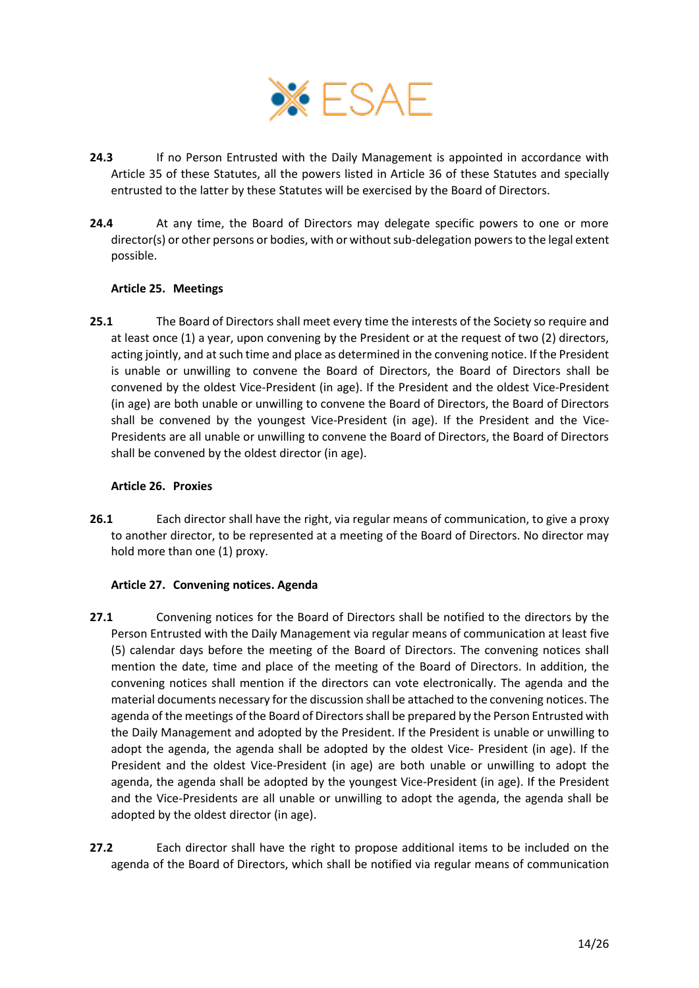

- **24.3** If no Person Entrusted with the Daily Management is appointed in accordance with [Article 35](#page-18-0) of these Statutes, all the powers listed in [Article 36](#page-20-0) of these Statutes and specially entrusted to the latter by these Statutes will be exercised by the Board of Directors.
- **24.4** At any time, the Board of Directors may delegate specific powers to one or more director(s) or other persons or bodies, with or without sub-delegation powersto the legal extent possible.

### <span id="page-13-1"></span>**Article 25. Meetings**

**25.1** The Board of Directors shall meet every time the interests of the Society so require and at least once (1) a year, upon convening by the President or at the request of two (2) directors, acting jointly, and at such time and place as determined in the convening notice. If the President is unable or unwilling to convene the Board of Directors, the Board of Directors shall be convened by the oldest Vice-President (in age). If the President and the oldest Vice-President (in age) are both unable or unwilling to convene the Board of Directors, the Board of Directors shall be convened by the youngest Vice-President (in age). If the President and the Vice-Presidents are all unable or unwilling to convene the Board of Directors, the Board of Directors shall be convened by the oldest director (in age).

#### <span id="page-13-2"></span>**Article 26. Proxies**

**26.1** Each director shall have the right, via regular means of communication, to give a proxy to another director, to be represented at a meeting of the Board of Directors. No director may hold more than one (1) proxy.

## <span id="page-13-0"></span>**Article 27. Convening notices. Agenda**

- **27.1** Convening notices for the Board of Directors shall be notified to the directors by the Person Entrusted with the Daily Management via regular means of communication at least five (5) calendar days before the meeting of the Board of Directors. The convening notices shall mention the date, time and place of the meeting of the Board of Directors. In addition, the convening notices shall mention if the directors can vote electronically. The agenda and the material documents necessary for the discussion shall be attached to the convening notices. The agenda of the meetings of the Board of Directors shall be prepared by the Person Entrusted with the Daily Management and adopted by the President. If the President is unable or unwilling to adopt the agenda, the agenda shall be adopted by the oldest Vice- President (in age). If the President and the oldest Vice-President (in age) are both unable or unwilling to adopt the agenda, the agenda shall be adopted by the youngest Vice-President (in age). If the President and the Vice-Presidents are all unable or unwilling to adopt the agenda, the agenda shall be adopted by the oldest director (in age).
- **27.2** Each director shall have the right to propose additional items to be included on the agenda of the Board of Directors, which shall be notified via regular means of communication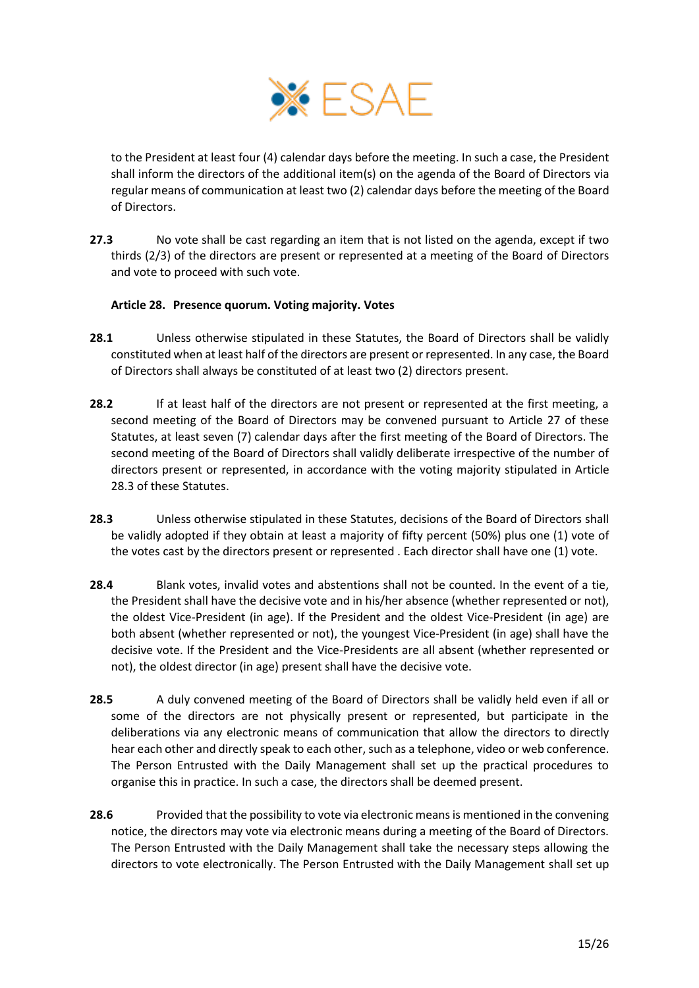

to the President at least four (4) calendar days before the meeting. In such a case, the President shall inform the directors of the additional item(s) on the agenda of the Board of Directors via regular means of communication at least two (2) calendar days before the meeting of the Board of Directors.

**27.3** No vote shall be cast regarding an item that is not listed on the agenda, except if two thirds (2/3) of the directors are present or represented at a meeting of the Board of Directors and vote to proceed with such vote.

## <span id="page-14-2"></span>**Article 28. Presence quorum. Voting majority. Votes**

- <span id="page-14-1"></span>**28.1** Unless otherwise stipulated in these Statutes, the Board of Directors shall be validly constituted when at least half of the directors are present or represented. In any case, the Board of Directors shall always be constituted of at least two (2) directors present.
- 28.2 If at least half of the directors are not present or represented at the first meeting, a second meeting of the Board of Directors may be convened pursuant to [Article 27](#page-13-0) of these Statutes, at least seven (7) calendar days after the first meeting of the Board of Directors. The second meeting of the Board of Directors shall validly deliberate irrespective of the number of directors present or represented, in accordance with the voting majority stipulated in Article [28.3](#page-14-0) of these Statutes.
- <span id="page-14-0"></span>**28.3** Unless otherwise stipulated in these Statutes, decisions of the Board of Directors shall be validly adopted if they obtain at least a majority of fifty percent (50%) plus one (1) vote of the votes cast by the directors present or represented . Each director shall have one (1) vote.
- **28.4** Blank votes, invalid votes and abstentions shall not be counted. In the event of a tie, the President shall have the decisive vote and in his/her absence (whether represented or not), the oldest Vice-President (in age). If the President and the oldest Vice-President (in age) are both absent (whether represented or not), the youngest Vice-President (in age) shall have the decisive vote. If the President and the Vice-Presidents are all absent (whether represented or not), the oldest director (in age) present shall have the decisive vote.
- **28.5** A duly convened meeting of the Board of Directors shall be validly held even if all or some of the directors are not physically present or represented, but participate in the deliberations via any electronic means of communication that allow the directors to directly hear each other and directly speak to each other, such as a telephone, video or web conference. The Person Entrusted with the Daily Management shall set up the practical procedures to organise this in practice. In such a case, the directors shall be deemed present.
- **28.6** Provided that the possibility to vote via electronic means is mentioned in the convening notice, the directors may vote via electronic means during a meeting of the Board of Directors. The Person Entrusted with the Daily Management shall take the necessary steps allowing the directors to vote electronically. The Person Entrusted with the Daily Management shall set up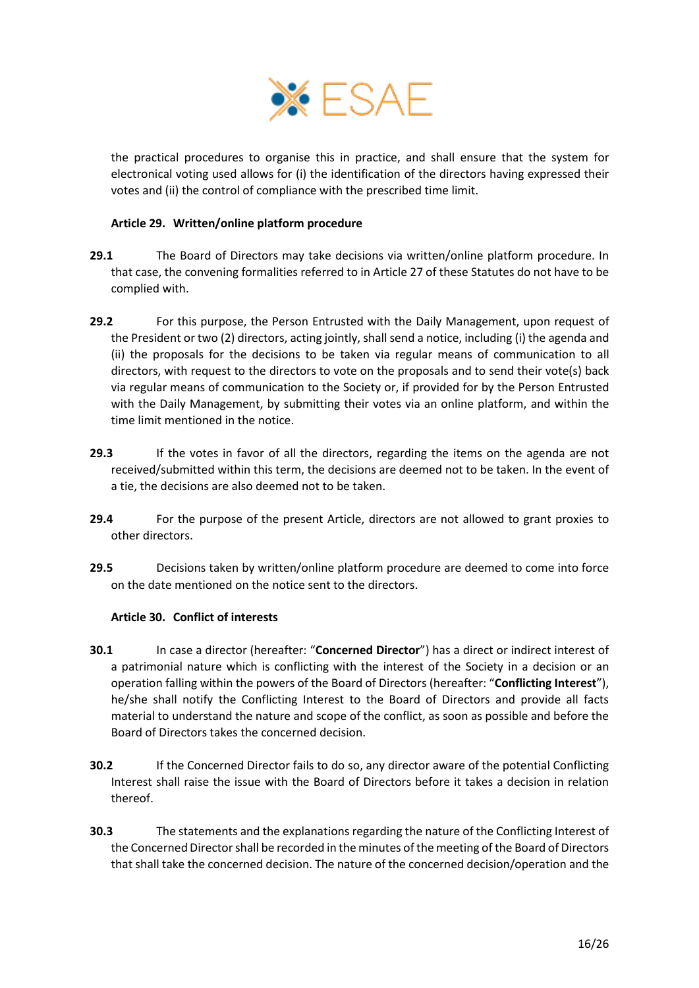

the practical procedures to organise this in practice, and shall ensure that the system for electronical voting used allows for (i) the identification of the directors having expressed their votes and (ii) the control of compliance with the prescribed time limit.

### <span id="page-15-0"></span>**Article 29. Written/online platform procedure**

- **29.1** The Board of Directors may take decisions via written/online platform procedure. In that case, the convening formalities referred to in [Article 27](#page-13-0) of these Statutes do not have to be complied with.
- **29.2** For this purpose, the Person Entrusted with the Daily Management, upon request of the President or two (2) directors, acting jointly, shall send a notice, including (i) the agenda and (ii) the proposals for the decisions to be taken via regular means of communication to all directors, with request to the directors to vote on the proposals and to send their vote(s) back via regular means of communication to the Society or, if provided for by the Person Entrusted with the Daily Management, by submitting their votes via an online platform, and within the time limit mentioned in the notice.
- **29.3** If the votes in favor of all the directors, regarding the items on the agenda are not received/submitted within this term, the decisions are deemed not to be taken. In the event of a tie, the decisions are also deemed not to be taken.
- **29.4** For the purpose of the present Article, directors are not allowed to grant proxies to other directors.
- **29.5** Decisions taken by written/online platform procedure are deemed to come into force on the date mentioned on the notice sent to the directors.

#### <span id="page-15-1"></span>**Article 30. Conflict of interests**

- **30.1** In case a director (hereafter: "**Concerned Director**") has a direct or indirect interest of a patrimonial nature which is conflicting with the interest of the Society in a decision or an operation falling within the powers of the Board of Directors (hereafter: "**Conflicting Interest**"), he/she shall notify the Conflicting Interest to the Board of Directors and provide all facts material to understand the nature and scope of the conflict, as soon as possible and before the Board of Directors takes the concerned decision.
- **30.2** If the Concerned Director fails to do so, any director aware of the potential Conflicting Interest shall raise the issue with the Board of Directors before it takes a decision in relation thereof.
- **30.3** The statements and the explanations regarding the nature of the Conflicting Interest of the Concerned Director shall be recorded in the minutes of the meeting of the Board of Directors that shall take the concerned decision. The nature of the concerned decision/operation and the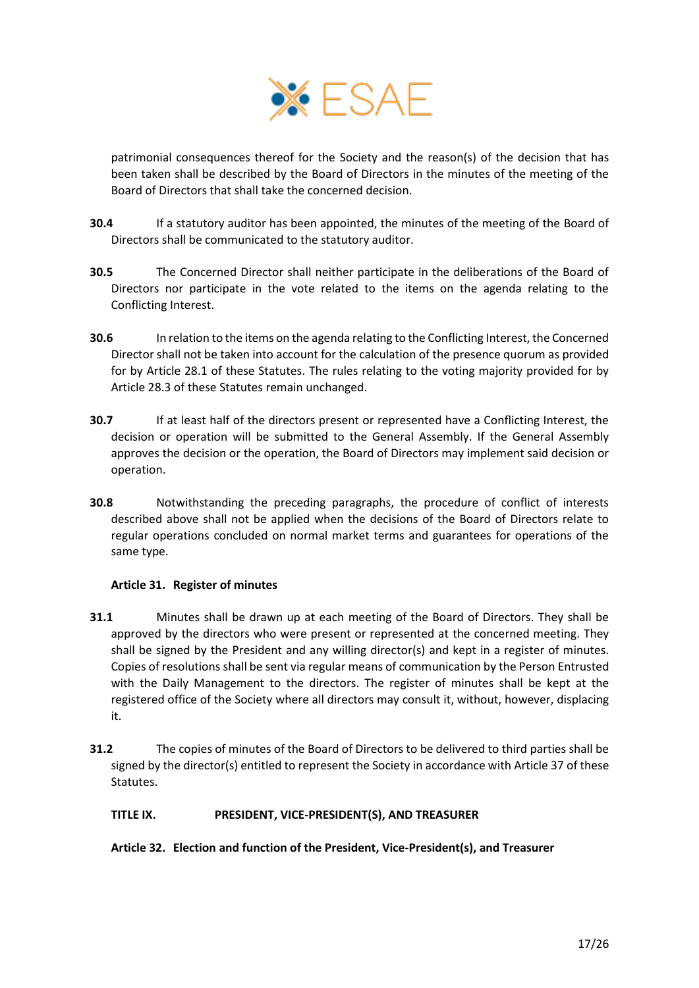

patrimonial consequences thereof for the Society and the reason(s) of the decision that has been taken shall be described by the Board of Directors in the minutes of the meeting of the Board of Directors that shall take the concerned decision.

- **30.4** If a statutory auditor has been appointed, the minutes of the meeting of the Board of Directors shall be communicated to the statutory auditor.
- **30.5** The Concerned Director shall neither participate in the deliberations of the Board of Directors nor participate in the vote related to the items on the agenda relating to the Conflicting Interest.
- **30.6** In relation to the items on the agenda relating to the Conflicting Interest, the Concerned Director shall not be taken into account for the calculation of the presence quorum as provided for by Article [28.1](#page-14-1) of these Statutes. The rules relating to the voting majority provided for by Article [28.3](#page-14-0) of these Statutes remain unchanged.
- **30.7** If at least half of the directors present or represented have a Conflicting Interest, the decision or operation will be submitted to the General Assembly. If the General Assembly approves the decision or the operation, the Board of Directors may implement said decision or operation.
- **30.8** Notwithstanding the preceding paragraphs, the procedure of conflict of interests described above shall not be applied when the decisions of the Board of Directors relate to regular operations concluded on normal market terms and guarantees for operations of the same type.

## <span id="page-16-0"></span>**Article 31. Register of minutes**

- **31.1** Minutes shall be drawn up at each meeting of the Board of Directors. They shall be approved by the directors who were present or represented at the concerned meeting. They shall be signed by the President and any willing director(s) and kept in a register of minutes. Copies of resolutions shall be sent via regular means of communication by the Person Entrusted with the Daily Management to the directors. The register of minutes shall be kept at the registered office of the Society where all directors may consult it, without, however, displacing it.
- **31.2** The copies of minutes of the Board of Directors to be delivered to third parties shall be signed by the director(s) entitled to represent the Society in accordance with [Article 37](#page-20-1) of these Statutes.

## <span id="page-16-1"></span>**TITLE IX. PRESIDENT, VICE-PRESIDENT(S), AND TREASURER**

## <span id="page-16-2"></span>**Article 32. Election and function of the President, Vice-President(s), and Treasurer**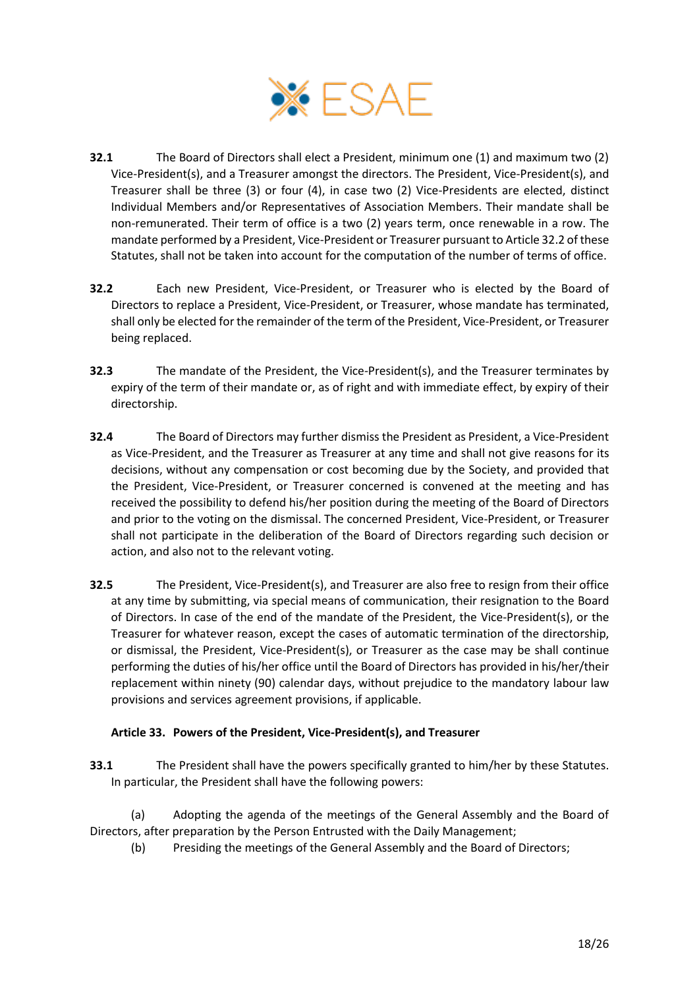

- <span id="page-17-1"></span>**32.1** The Board of Directors shall elect a President, minimum one (1) and maximum two (2) Vice-President(s), and a Treasurer amongst the directors. The President, Vice-President(s), and Treasurer shall be three (3) or four (4), in case two (2) Vice-Presidents are elected, distinct Individual Members and/or Representatives of Association Members. Their mandate shall be non-remunerated. Their term of office is a two (2) years term, once renewable in a row. The mandate performed by a President, Vice-President or Treasurer pursuant to Articl[e 32.2](#page-17-0) of these Statutes, shall not be taken into account for the computation of the number of terms of office.
- <span id="page-17-0"></span>**32.2** Each new President, Vice-President, or Treasurer who is elected by the Board of Directors to replace a President, Vice-President, or Treasurer, whose mandate has terminated, shall only be elected for the remainder of the term of the President, Vice-President, or Treasurer being replaced.
- **32.3** The mandate of the President, the Vice-President(s), and the Treasurer terminates by expiry of the term of their mandate or, as of right and with immediate effect, by expiry of their directorship.
- **32.4** The Board of Directors may further dismiss the President as President, a Vice-President as Vice-President, and the Treasurer as Treasurer at any time and shall not give reasons for its decisions, without any compensation or cost becoming due by the Society, and provided that the President, Vice-President, or Treasurer concerned is convened at the meeting and has received the possibility to defend his/her position during the meeting of the Board of Directors and prior to the voting on the dismissal. The concerned President, Vice-President, or Treasurer shall not participate in the deliberation of the Board of Directors regarding such decision or action, and also not to the relevant voting.
- **32.5** The President, Vice-President(s), and Treasurer are also free to resign from their office at any time by submitting, via special means of communication, their resignation to the Board of Directors. In case of the end of the mandate of the President, the Vice-President(s), or the Treasurer for whatever reason, except the cases of automatic termination of the directorship, or dismissal, the President, Vice-President(s), or Treasurer as the case may be shall continue performing the duties of his/her office until the Board of Directors has provided in his/her/their replacement within ninety (90) calendar days, without prejudice to the mandatory labour law provisions and services agreement provisions, if applicable.

## <span id="page-17-2"></span>**Article 33. Powers of the President, Vice-President(s), and Treasurer**

- **33.1** The President shall have the powers specifically granted to him/her by these Statutes. In particular, the President shall have the following powers:
- (a) Adopting the agenda of the meetings of the General Assembly and the Board of Directors, after preparation by the Person Entrusted with the Daily Management;
	- (b) Presiding the meetings of the General Assembly and the Board of Directors;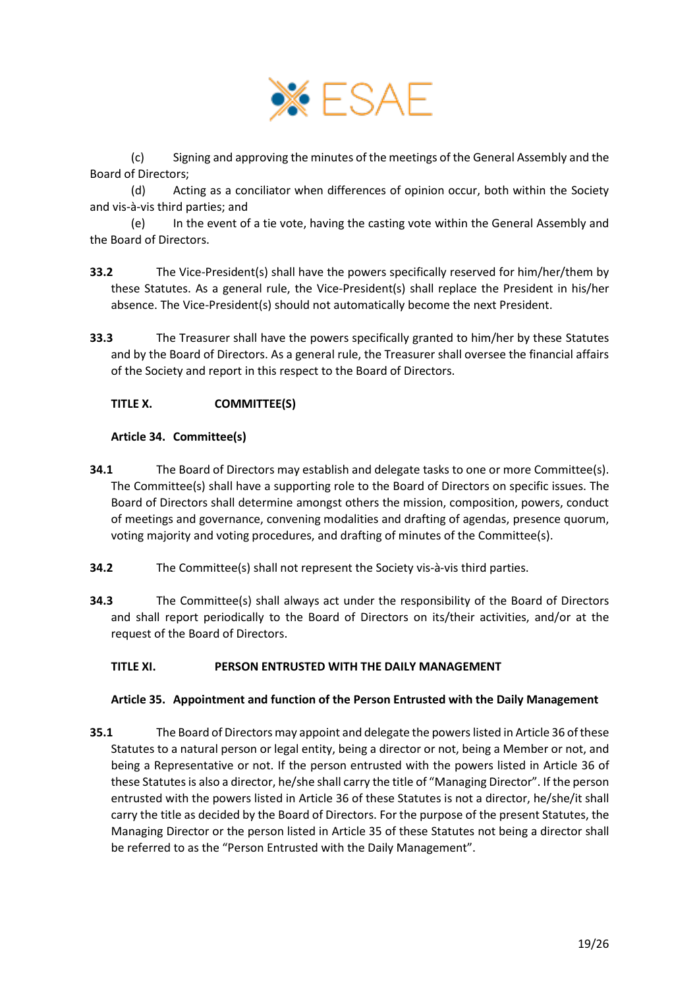

(c) Signing and approving the minutes of the meetings of the General Assembly and the Board of Directors;

(d) Acting as a conciliator when differences of opinion occur, both within the Society and vis-à-vis third parties; and

(e) In the event of a tie vote, having the casting vote within the General Assembly and the Board of Directors.

- **33.2** The Vice-President(s) shall have the powers specifically reserved for him/her/them by these Statutes. As a general rule, the Vice-President(s) shall replace the President in his/her absence. The Vice-President(s) should not automatically become the next President.
- **33.3** The Treasurer shall have the powers specifically granted to him/her by these Statutes and by the Board of Directors. As a general rule, the Treasurer shall oversee the financial affairs of the Society and report in this respect to the Board of Directors.

## <span id="page-18-1"></span>**TITLE X. COMMITTEE(S)**

### <span id="page-18-2"></span>**Article 34. Committee(s)**

- **34.1** The Board of Directors may establish and delegate tasks to one or more Committee(s). The Committee(s) shall have a supporting role to the Board of Directors on specific issues. The Board of Directors shall determine amongst others the mission, composition, powers, conduct of meetings and governance, convening modalities and drafting of agendas, presence quorum, voting majority and voting procedures, and drafting of minutes of the Committee(s).
- **34.2** The Committee(s) shall not represent the Society vis-à-vis third parties.
- **34.3** The Committee(s) shall always act under the responsibility of the Board of Directors and shall report periodically to the Board of Directors on its/their activities, and/or at the request of the Board of Directors.

#### <span id="page-18-3"></span>**TITLE XI. PERSON ENTRUSTED WITH THE DAILY MANAGEMENT**

#### <span id="page-18-0"></span>**Article 35. Appointment and function of the Person Entrusted with the Daily Management**

**35.1** The Board of Directors may appoint and delegate the powers listed i[n Article 36](#page-20-0) of these Statutes to a natural person or legal entity, being a director or not, being a Member or not, and being a Representative or not. If the person entrusted with the powers listed in [Article 36](#page-20-0) of these Statutes is also a director, he/she shall carry the title of "Managing Director". If the person entrusted with the powers listed in [Article 36](#page-20-0) of these Statutes is not a director, he/she/it shall carry the title as decided by the Board of Directors. For the purpose of the present Statutes, the Managing Director or the person listed in [Article 35](#page-18-0) of these Statutes not being a director shall be referred to as the "Person Entrusted with the Daily Management".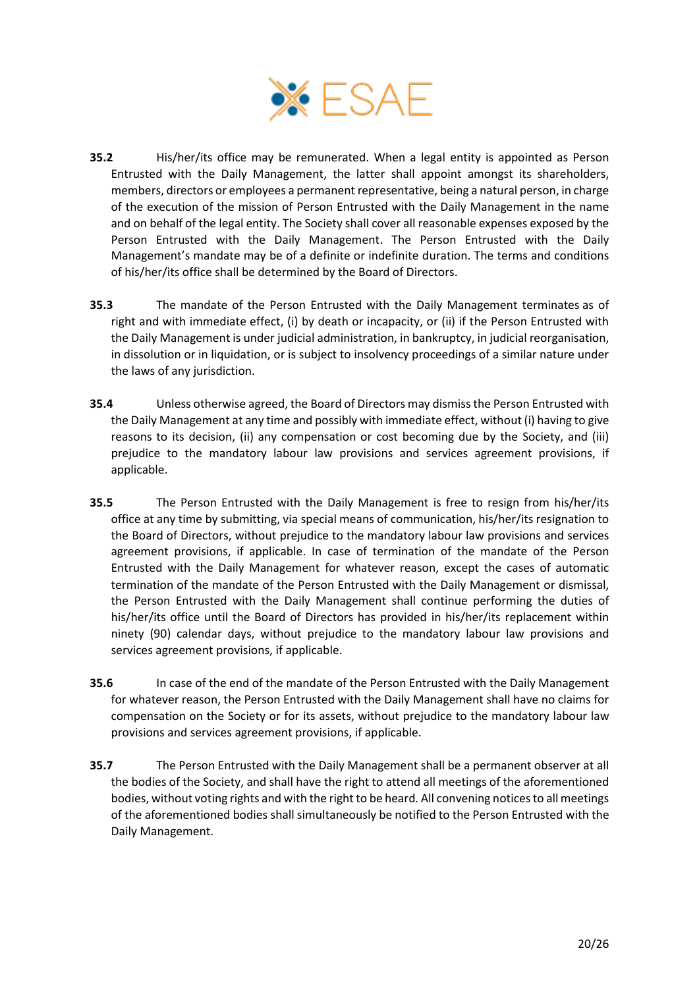

- **35.2** His/her/its office may be remunerated. When a legal entity is appointed as Person Entrusted with the Daily Management, the latter shall appoint amongst its shareholders, members, directors or employees a permanent representative, being a natural person, in charge of the execution of the mission of Person Entrusted with the Daily Management in the name and on behalf of the legal entity. The Society shall cover all reasonable expenses exposed by the Person Entrusted with the Daily Management. The Person Entrusted with the Daily Management's mandate may be of a definite or indefinite duration. The terms and conditions of his/her/its office shall be determined by the Board of Directors.
- **35.3** The mandate of the Person Entrusted with the Daily Management terminates as of right and with immediate effect, (i) by death or incapacity, or (ii) if the Person Entrusted with the Daily Management is under judicial administration, in bankruptcy, in judicial reorganisation, in dissolution or in liquidation, or is subject to insolvency proceedings of a similar nature under the laws of any jurisdiction.
- **35.4** Unless otherwise agreed, the Board of Directors may dismissthe Person Entrusted with the Daily Management at any time and possibly with immediate effect, without (i) having to give reasons to its decision, (ii) any compensation or cost becoming due by the Society, and (iii) prejudice to the mandatory labour law provisions and services agreement provisions, if applicable.
- **35.5** The Person Entrusted with the Daily Management is free to resign from his/her/its office at any time by submitting, via special means of communication, his/her/its resignation to the Board of Directors, without prejudice to the mandatory labour law provisions and services agreement provisions, if applicable. In case of termination of the mandate of the Person Entrusted with the Daily Management for whatever reason, except the cases of automatic termination of the mandate of the Person Entrusted with the Daily Management or dismissal, the Person Entrusted with the Daily Management shall continue performing the duties of his/her/its office until the Board of Directors has provided in his/her/its replacement within ninety (90) calendar days, without prejudice to the mandatory labour law provisions and services agreement provisions, if applicable.
- **35.6** In case of the end of the mandate of the Person Entrusted with the Daily Management for whatever reason, the Person Entrusted with the Daily Management shall have no claims for compensation on the Society or for its assets, without prejudice to the mandatory labour law provisions and services agreement provisions, if applicable.
- **35.7** The Person Entrusted with the Daily Management shall be a permanent observer at all the bodies of the Society, and shall have the right to attend all meetings of the aforementioned bodies, without voting rights and with the right to be heard. All convening notices to all meetings of the aforementioned bodies shall simultaneously be notified to the Person Entrusted with the Daily Management.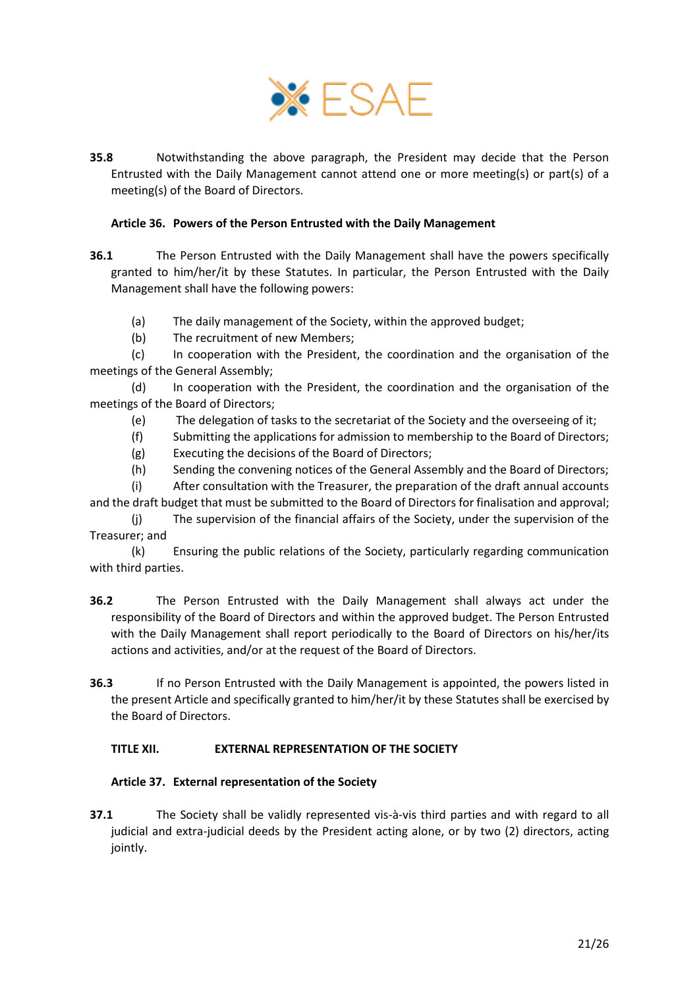

**35.8** Notwithstanding the above paragraph, the President may decide that the Person Entrusted with the Daily Management cannot attend one or more meeting(s) or part(s) of a meeting(s) of the Board of Directors.

### <span id="page-20-0"></span>**Article 36. Powers of the Person Entrusted with the Daily Management**

- **36.1** The Person Entrusted with the Daily Management shall have the powers specifically granted to him/her/it by these Statutes. In particular, the Person Entrusted with the Daily Management shall have the following powers:
	- (a) The daily management of the Society, within the approved budget;
	- (b) The recruitment of new Members;

(c) In cooperation with the President, the coordination and the organisation of the meetings of the General Assembly;

(d) In cooperation with the President, the coordination and the organisation of the meetings of the Board of Directors;

- (e) The delegation of tasks to the secretariat of the Society and the overseeing of it;
- (f) Submitting the applications for admission to membership to the Board of Directors;
- (g) Executing the decisions of the Board of Directors;
- (h) Sending the convening notices of the General Assembly and the Board of Directors;

(i) After consultation with the Treasurer, the preparation of the draft annual accounts and the draft budget that must be submitted to the Board of Directors for finalisation and approval;

The supervision of the financial affairs of the Society, under the supervision of the Treasurer; and

(k) Ensuring the public relations of the Society, particularly regarding communication with third parties.

- **36.2** The Person Entrusted with the Daily Management shall always act under the responsibility of the Board of Directors and within the approved budget. The Person Entrusted with the Daily Management shall report periodically to the Board of Directors on his/her/its actions and activities, and/or at the request of the Board of Directors.
- **36.3** If no Person Entrusted with the Daily Management is appointed, the powers listed in the present Article and specifically granted to him/her/it by these Statutes shall be exercised by the Board of Directors.

#### <span id="page-20-2"></span>**TITLE XII. EXTERNAL REPRESENTATION OF THE SOCIETY**

#### <span id="page-20-1"></span>**Article 37. External representation of the Society**

**37.1** The Society shall be validly represented vis-à-vis third parties and with regard to all judicial and extra-judicial deeds by the President acting alone, or by two (2) directors, acting jointly.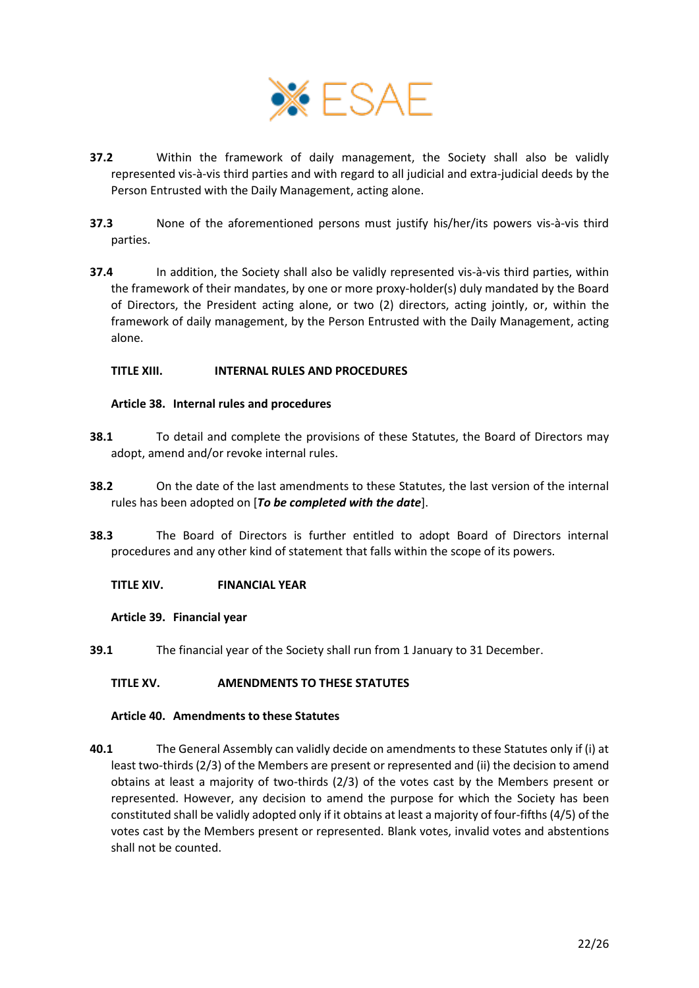

- **37.2** Within the framework of daily management, the Society shall also be validly represented vis-à-vis third parties and with regard to all judicial and extra-judicial deeds by the Person Entrusted with the Daily Management, acting alone.
- **37.3** None of the aforementioned persons must justify his/her/its powers vis-à-vis third parties.
- **37.4** In addition, the Society shall also be validly represented vis-à-vis third parties, within the framework of their mandates, by one or more proxy-holder(s) duly mandated by the Board of Directors, the President acting alone, or two (2) directors, acting jointly, or, within the framework of daily management, by the Person Entrusted with the Daily Management, acting alone.

### <span id="page-21-1"></span>**TITLE XIII. INTERNAL RULES AND PROCEDURES**

### <span id="page-21-2"></span>**Article 38. Internal rules and procedures**

- **38.1** To detail and complete the provisions of these Statutes, the Board of Directors may adopt, amend and/or revoke internal rules.
- **38.2** On the date of the last amendments to these Statutes, the last version of the internal rules has been adopted on [*To be completed with the date*].
- **38.3** The Board of Directors is further entitled to adopt Board of Directors internal procedures and any other kind of statement that falls within the scope of its powers.

#### <span id="page-21-3"></span>**TITLE XIV. FINANCIAL YEAR**

#### <span id="page-21-4"></span>**Article 39. Financial year**

**39.1** The financial year of the Society shall run from 1 January to 31 December.

## <span id="page-21-5"></span>**TITLE XV. AMENDMENTS TO THESE STATUTES**

#### <span id="page-21-6"></span>**Article 40. Amendments to these Statutes**

<span id="page-21-0"></span>**40.1** The General Assembly can validly decide on amendments to these Statutes only if (i) at least two-thirds (2/3) of the Members are present or represented and (ii) the decision to amend obtains at least a majority of two-thirds (2/3) of the votes cast by the Members present or represented. However, any decision to amend the purpose for which the Society has been constituted shall be validly adopted only if it obtains at least a majority of four-fifths (4/5) of the votes cast by the Members present or represented. Blank votes, invalid votes and abstentions shall not be counted.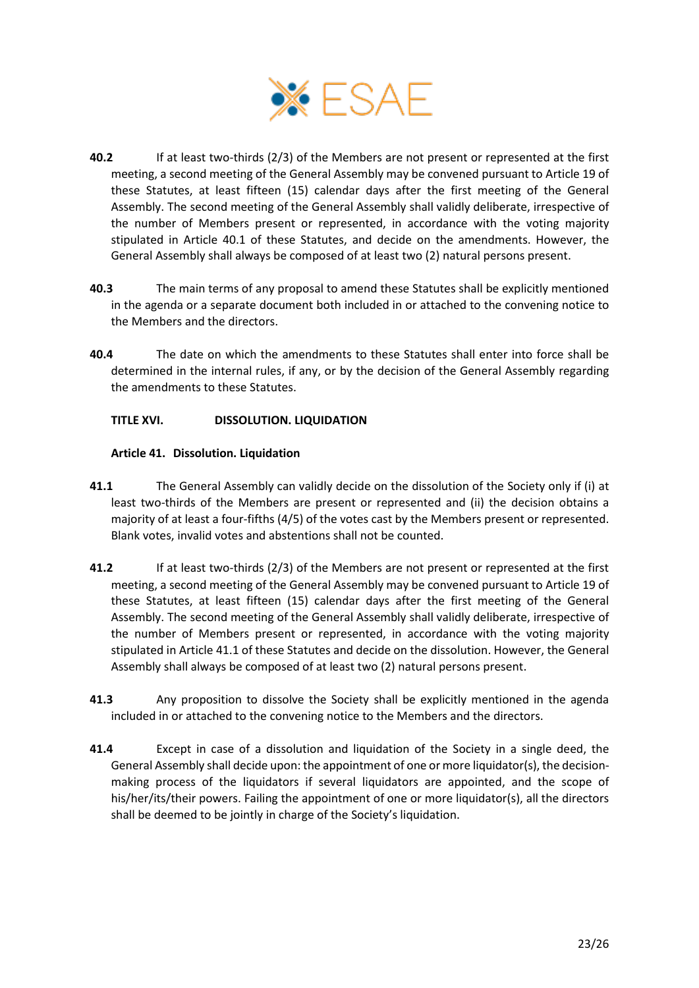

- **40.2** If at least two-thirds (2/3) of the Members are not present or represented at the first meeting, a second meeting of the General Assembly may be convened pursuant t[o Article 19](#page-8-1) of these Statutes, at least fifteen (15) calendar days after the first meeting of the General Assembly. The second meeting of the General Assembly shall validly deliberate, irrespective of the number of Members present or represented, in accordance with the voting majority stipulated in Article [40.1](#page-21-0) of these Statutes, and decide on the amendments. However, the General Assembly shall always be composed of at least two (2) natural persons present.
- **40.3** The main terms of any proposal to amend these Statutes shall be explicitly mentioned in the agenda or a separate document both included in or attached to the convening notice to the Members and the directors.
- **40.4** The date on which the amendments to these Statutes shall enter into force shall be determined in the internal rules, if any, or by the decision of the General Assembly regarding the amendments to these Statutes.

## <span id="page-22-1"></span>**TITLE XVI. DISSOLUTION. LIQUIDATION**

## <span id="page-22-2"></span>**Article 41. Dissolution. Liquidation**

- <span id="page-22-0"></span>**41.1** The General Assembly can validly decide on the dissolution of the Society only if (i) at least two-thirds of the Members are present or represented and (ii) the decision obtains a majority of at least a four-fifths (4/5) of the votes cast by the Members present or represented. Blank votes, invalid votes and abstentions shall not be counted.
- **41.2** If at least two-thirds (2/3) of the Members are not present or represented at the first meeting, a second meeting of the General Assembly may be convened pursuant t[o Article 19](#page-8-1) of these Statutes, at least fifteen (15) calendar days after the first meeting of the General Assembly. The second meeting of the General Assembly shall validly deliberate, irrespective of the number of Members present or represented, in accordance with the voting majority stipulated in Article [41.1](#page-22-0) of these Statutes and decide on the dissolution. However, the General Assembly shall always be composed of at least two (2) natural persons present.
- **41.3** Any proposition to dissolve the Society shall be explicitly mentioned in the agenda included in or attached to the convening notice to the Members and the directors.
- **41.4** Except in case of a dissolution and liquidation of the Society in a single deed, the General Assembly shall decide upon: the appointment of one or more liquidator(s), the decisionmaking process of the liquidators if several liquidators are appointed, and the scope of his/her/its/their powers. Failing the appointment of one or more liquidator(s), all the directors shall be deemed to be jointly in charge of the Society's liquidation.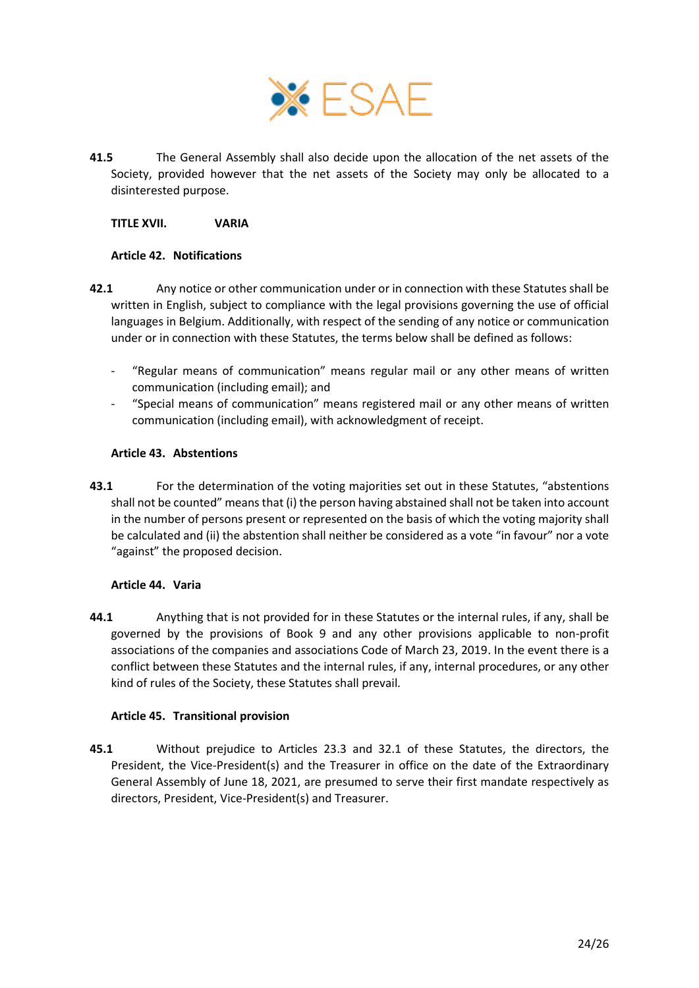

**41.5** The General Assembly shall also decide upon the allocation of the net assets of the Society, provided however that the net assets of the Society may only be allocated to a disinterested purpose.

### <span id="page-23-0"></span>**TITLE XVII. VARIA**

### <span id="page-23-1"></span>**Article 42. Notifications**

- **42.1** Any notice or other communication under or in connection with these Statutes shall be written in English, subject to compliance with the legal provisions governing the use of official languages in Belgium. Additionally, with respect of the sending of any notice or communication under or in connection with these Statutes, the terms below shall be defined as follows:
	- "Regular means of communication" means regular mail or any other means of written communication (including email); and
	- "Special means of communication" means registered mail or any other means of written communication (including email), with acknowledgment of receipt.

### <span id="page-23-2"></span>**Article 43. Abstentions**

**43.1** For the determination of the voting majorities set out in these Statutes, "abstentions shall not be counted" means that (i) the person having abstained shall not be taken into account in the number of persons present or represented on the basis of which the voting majority shall be calculated and (ii) the abstention shall neither be considered as a vote "in favour" nor a vote "against" the proposed decision.

#### <span id="page-23-3"></span>**Article 44. Varia**

**44.1** Anything that is not provided for in these Statutes or the internal rules, if any, shall be governed by the provisions of Book 9 and any other provisions applicable to non-profit associations of the companies and associations Code of March 23, 2019. In the event there is a conflict between these Statutes and the internal rules, if any, internal procedures, or any other kind of rules of the Society, these Statutes shall prevail.

## <span id="page-23-4"></span>**Article 45. Transitional provision**

**45.1** Without prejudice to Articles [23.3](#page-11-2) and [32.1](#page-17-1) of these Statutes, the directors, the President, the Vice-President(s) and the Treasurer in office on the date of the Extraordinary General Assembly of June 18, 2021, are presumed to serve their first mandate respectively as directors, President, Vice-President(s) and Treasurer.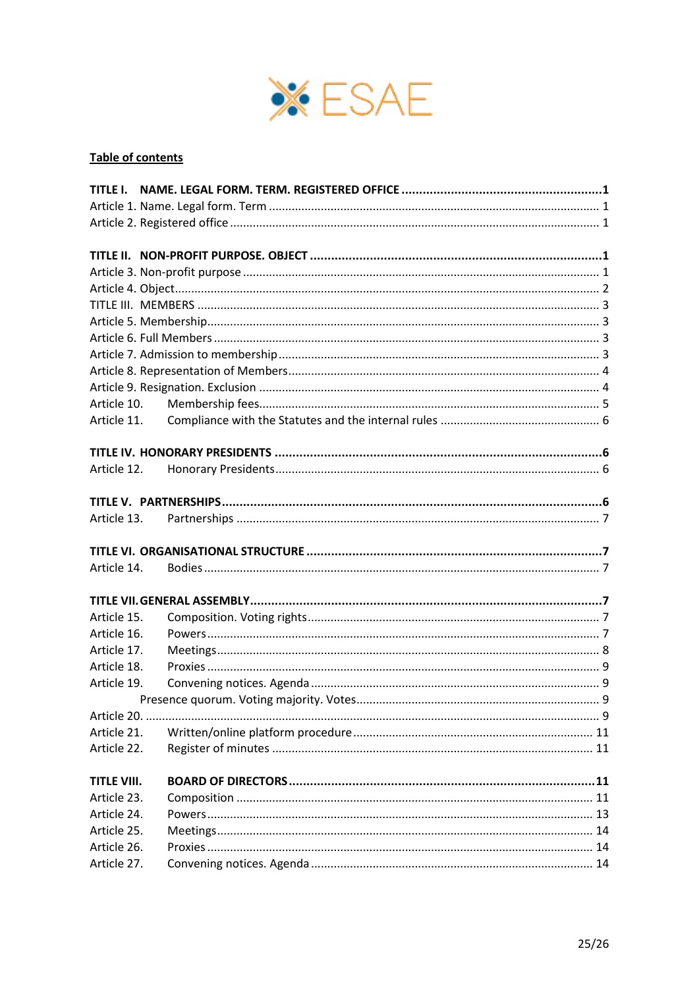

# Table of contents

| Article 10.                |  |  |
|----------------------------|--|--|
| Article 11.                |  |  |
|                            |  |  |
|                            |  |  |
| Article 12.                |  |  |
|                            |  |  |
|                            |  |  |
| Article 13.                |  |  |
|                            |  |  |
|                            |  |  |
|                            |  |  |
| Article 14.                |  |  |
|                            |  |  |
| Article 15.                |  |  |
| Article 16.                |  |  |
| Article 17.                |  |  |
| Article 18.                |  |  |
| Article 19.                |  |  |
|                            |  |  |
|                            |  |  |
| Article 21.                |  |  |
| Article 22.                |  |  |
|                            |  |  |
| <b>TITLE VIII.</b>         |  |  |
| Article 23.                |  |  |
| Article 24.                |  |  |
| Article 25.                |  |  |
| Article 26.<br>Article 27. |  |  |